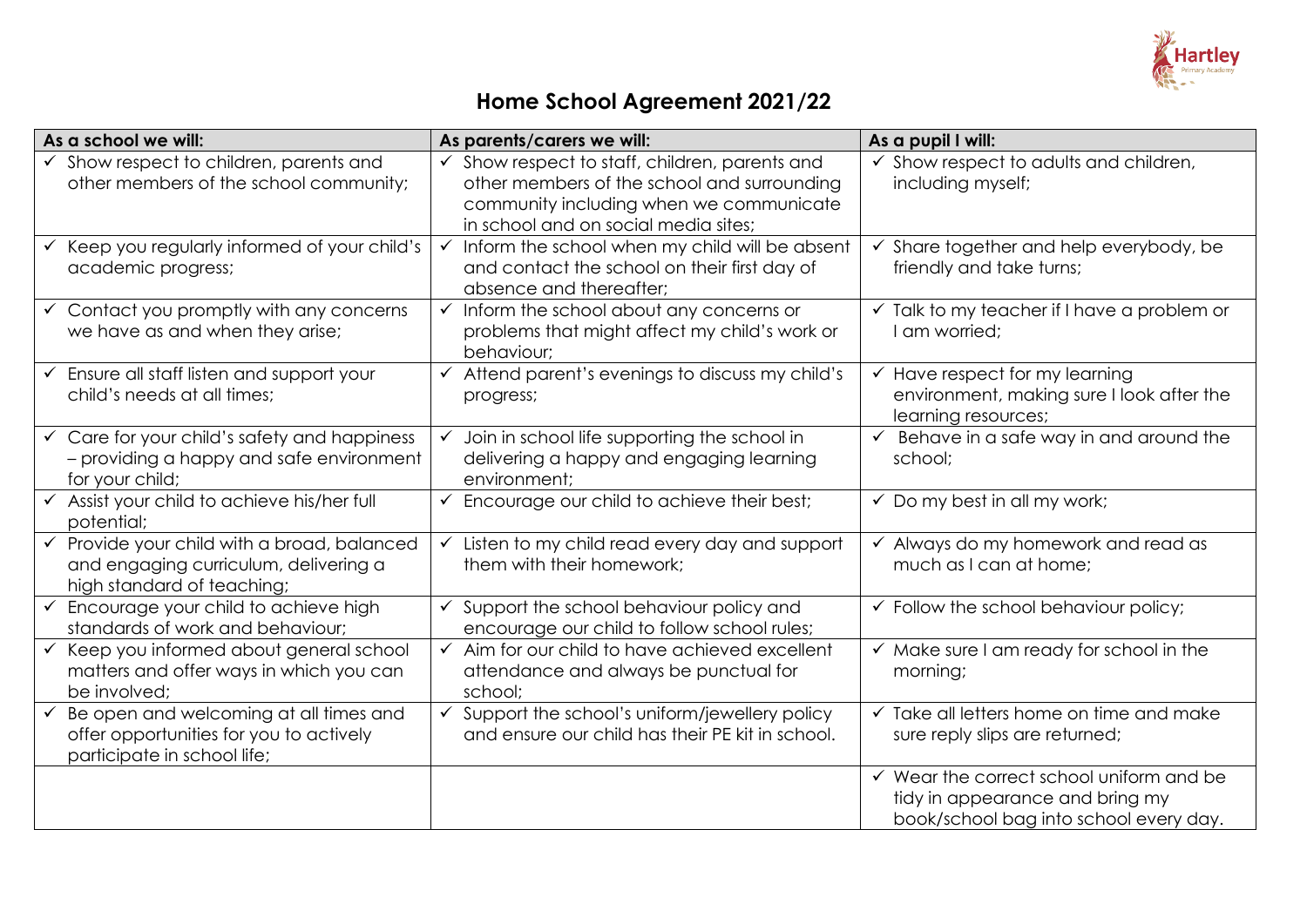

# **Home School Agreement 2021/22**

| As a school we will:                                                                                                             | As parents/carers we will:                                                                                                                                                                  | As a pupil I will:                                                                                                               |
|----------------------------------------------------------------------------------------------------------------------------------|---------------------------------------------------------------------------------------------------------------------------------------------------------------------------------------------|----------------------------------------------------------------------------------------------------------------------------------|
| $\checkmark$ Show respect to children, parents and<br>other members of the school community;                                     | $\checkmark$ Show respect to staff, children, parents and<br>other members of the school and surrounding<br>community including when we communicate<br>in school and on social media sites; | Show respect to adults and children,<br>$\checkmark$<br>including myself;                                                        |
| Keep you regularly informed of your child's<br>academic progress;                                                                | $\checkmark$ Inform the school when my child will be absent<br>and contact the school on their first day of<br>absence and thereafter;                                                      | Share together and help everybody, be<br>friendly and take turns;                                                                |
| $\checkmark$ Contact you promptly with any concerns<br>we have as and when they arise;                                           | $\checkmark$ Inform the school about any concerns or<br>problems that might affect my child's work or<br>behaviour;                                                                         | $\checkmark$ Talk to my teacher if I have a problem or<br>I am worried;                                                          |
| $\checkmark$ Ensure all staff listen and support your<br>child's needs at all times;                                             | $\checkmark$ Attend parent's evenings to discuss my child's<br>progress;                                                                                                                    | Have respect for my learning<br>$\checkmark$<br>environment, making sure I look after the<br>learning resources;                 |
| $\checkmark$ Care for your child's safety and happiness<br>- providing a happy and safe environment<br>for your child;           | Join in school life supporting the school in<br>$\checkmark$<br>delivering a happy and engaging learning<br>environment;                                                                    | Behave in a safe way in and around the<br>school;                                                                                |
| ← Assist your child to achieve his/her full<br>potential;                                                                        | $\checkmark$ Encourage our child to achieve their best;                                                                                                                                     | $\checkmark$ Do my best in all my work;                                                                                          |
| $\checkmark$ Provide your child with a broad, balanced<br>and engaging curriculum, delivering a<br>high standard of teaching;    | $\checkmark$ Listen to my child read every day and support<br>them with their homework:                                                                                                     | $\checkmark$ Always do my homework and read as<br>much as I can at home;                                                         |
| $\checkmark$ Encourage your child to achieve high<br>standards of work and behaviour;                                            | $\checkmark$ Support the school behaviour policy and<br>encourage our child to follow school rules;                                                                                         | $\checkmark$ Follow the school behaviour policy;                                                                                 |
| ← Keep you informed about general school<br>matters and offer ways in which you can<br>be involved;                              | $\checkmark$ Aim for our child to have achieved excellent<br>attendance and always be punctual for<br>school:                                                                               | $\checkmark$ Make sure I am ready for school in the<br>morning;                                                                  |
| Be open and welcoming at all times and<br>$\checkmark$<br>offer opportunities for you to actively<br>participate in school life; | $\checkmark$ Support the school's uniform/jewellery policy<br>and ensure our child has their PE kit in school.                                                                              | Take all letters home on time and make<br>$\checkmark$<br>sure reply slips are returned;                                         |
|                                                                                                                                  |                                                                                                                                                                                             | $\checkmark$ Wear the correct school uniform and be<br>tidy in appearance and bring my<br>book/school bag into school every day. |